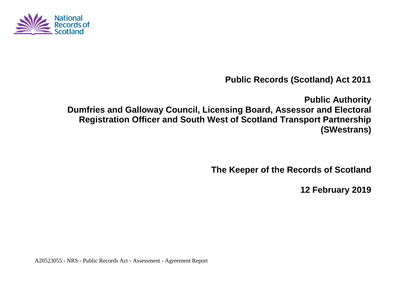

**Public Records (Scotland) Act 2011**

**Public Authority Dumfries and Galloway Council, Licensing Board, Assessor and Electoral Registration Officer and South West of Scotland Transport Partnership (SWestrans)**

**The Keeper of the Records of Scotland**

**12 February 2019**

A20523055 - NRS - Public Records Act - Assessment - Agreement Report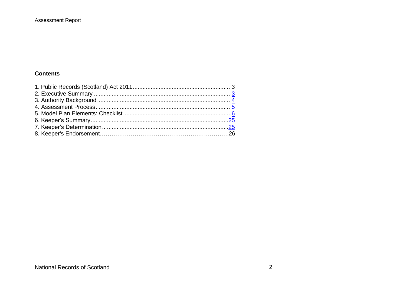#### **Assessment Report**

#### **Contents**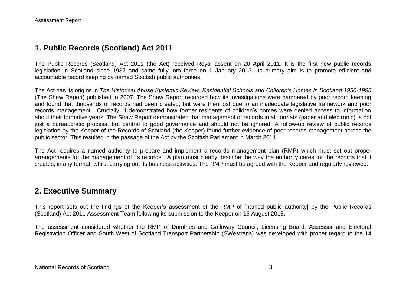### **1. Public Records (Scotland) Act 2011**

The Public Records (Scotland) Act 2011 (the Act) received Royal assent on 20 April 2011. It is the first new public records legislation in Scotland since 1937 and came fully into force on 1 January 2013. Its primary aim is to promote efficient and accountable record keeping by named Scottish public authorities.

The Act has its origins in *The Historical Abuse Systemic Review: Residential Schools and Children's Homes in Scotland 1950-1995* (The Shaw Report) published in 2007. The Shaw Report recorded how its investigations were hampered by poor record keeping and found that thousands of records had been created, but were then lost due to an inadequate legislative framework and poor records management. Crucially, it demonstrated how former residents of children's homes were denied access to information about their formative years. The Shaw Report demonstrated that management of records in all formats (paper and electronic) is not just a bureaucratic process, but central to good governance and should not be ignored. A follow-up review of public records legislation by the Keeper of the Records of Scotland (the Keeper) found further evidence of poor records management across the public sector. This resulted in the passage of the Act by the Scottish Parliament in March 2011.

The Act requires a named authority to prepare and implement a records management plan (RMP) which must set out proper arrangements for the management of its records. A plan must clearly describe the way the authority cares for the records that it creates, in any format, whilst carrying out its business activities. The RMP must be agreed with the Keeper and regularly reviewed.

### **2. Executive Summary**

This report sets out the findings of the Keeper's assessment of the RMP of [named public authority] by the Public Records (Scotland) Act 2011 Assessment Team following its submission to the Keeper on 16 August 2018*.*

The assessment considered whether the RMP of Dumfries and Galloway Council, Licensing Board, Assessor and Electoral Registration Officer and South West of Scotland Transport Partnership (SWestrans) was developed with proper regard to the 14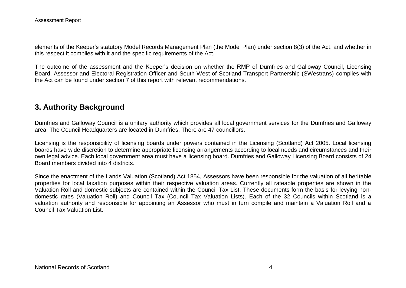elements of the Keeper's statutory Model Records Management Plan (the Model Plan) under section 8(3) of the Act, and whether in this respect it complies with it and the specific requirements of the Act.

The outcome of the assessment and the Keeper's decision on whether the RMP of Dumfries and Galloway Council, Licensing Board, Assessor and Electoral Registration Officer and South West of Scotland Transport Partnership (SWestrans) complies with the Act can be found under section 7 of this report with relevant recommendations.

# **3. Authority Background**

Dumfries and Galloway Council is a unitary authority which provides all local government services for the Dumfries and Galloway area. The Council Headquarters are located in Dumfries. There are 47 councillors.

Licensing is the responsibility of licensing boards under powers contained in the Licensing (Scotland) Act 2005. Local licensing boards have wide discretion to determine appropriate licensing arrangements according to local needs and circumstances and their own legal advice. Each local government area must have a licensing board. Dumfries and Galloway Licensing Board consists of 24 Board members divided into 4 districts.

Since the enactment of the Lands Valuation (Scotland) Act 1854, Assessors have been responsible for the valuation of all heritable properties for local taxation purposes within their respective valuation areas. Currently all rateable properties are shown in the Valuation Roll and domestic subjects are contained within the Council Tax List. These documents form the basis for levying nondomestic rates (Valuation Roll) and Council Tax (Council Tax Valuation Lists). Each of the 32 Councils within Scotland is a valuation authority and responsible for appointing an Assessor who must in turn compile and maintain a Valuation Roll and a Council Tax Valuation List.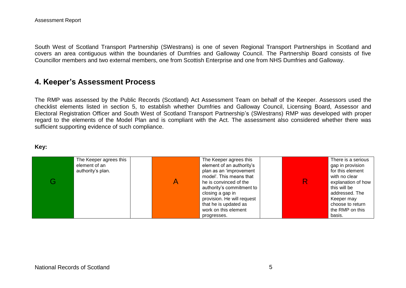Assessment Report

South West of Scotland Transport Partnership (SWestrans) is one of seven Regional Transport Partnerships in Scotland and covers an area contiguous within the boundaries of Dumfries and Galloway Council. The Partnership Board consists of five Councillor members and two external members, one from Scottish Enterprise and one from NHS Dumfries and Galloway.

### **4. Keeper's Assessment Process**

The RMP was assessed by the Public Records (Scotland) Act Assessment Team on behalf of the Keeper. Assessors used the checklist elements listed in section 5, to establish whether Dumfries and Galloway Council, Licensing Board, Assessor and Electoral Registration Officer and South West of Scotland Transport Partnership's (SWestrans) RMP was developed with proper regard to the elements of the Model Plan and is compliant with the Act. The assessment also considered whether there was sufficient supporting evidence of such compliance.

#### **Key:**

| The Keeper agrees this<br>element of an<br>authority's plan. | The Keeper agrees this<br>element of an authority's<br>plan as an 'improvement<br>model'. This means that<br>he is convinced of the<br>authority's commitment to<br>closing a gap in<br>provision. He will request<br>that he is updated as | There is a serious<br>gap in provision<br>for this element<br>with no clear<br>explanation of how<br>this will be<br>addressed. The<br>Keeper may<br>choose to return |
|--------------------------------------------------------------|---------------------------------------------------------------------------------------------------------------------------------------------------------------------------------------------------------------------------------------------|-----------------------------------------------------------------------------------------------------------------------------------------------------------------------|
|                                                              | work on this element<br>progresses.                                                                                                                                                                                                         | the RMP on this<br>basis.                                                                                                                                             |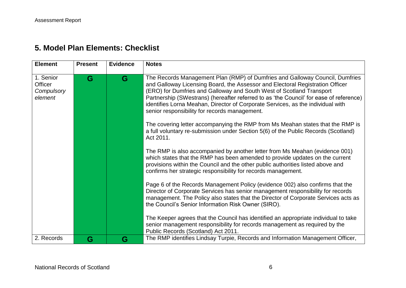# **5. Model Plan Elements: Checklist**

| <b>Element</b>                                | <b>Present</b> | <b>Evidence</b> | <b>Notes</b>                                                                                                                                                                                                                                                                                                                                                                                                                                                        |
|-----------------------------------------------|----------------|-----------------|---------------------------------------------------------------------------------------------------------------------------------------------------------------------------------------------------------------------------------------------------------------------------------------------------------------------------------------------------------------------------------------------------------------------------------------------------------------------|
| 1. Senior<br>Officer<br>Compulsory<br>element | G              | G               | The Records Management Plan (RMP) of Dumfries and Galloway Council, Dumfries<br>and Galloway Licensing Board, the Assessor and Electoral Registration Officer<br>(ERO) for Dumfries and Galloway and South West of Scotland Transport<br>Partnership (SWestrans) (hereafter referred to as 'the Council' for ease of reference)<br>identifies Lorna Meahan, Director of Corporate Services, as the individual with<br>senior responsibility for records management. |
|                                               |                |                 | The covering letter accompanying the RMP from Ms Meahan states that the RMP is<br>a full voluntary re-submission under Section 5(6) of the Public Records (Scotland)<br>Act 2011.                                                                                                                                                                                                                                                                                   |
|                                               |                |                 | The RMP is also accompanied by another letter from Ms Meahan (evidence 001)<br>which states that the RMP has been amended to provide updates on the current<br>provisions within the Council and the other public authorities listed above and<br>confirms her strategic responsibility for records management.                                                                                                                                                     |
|                                               |                |                 | Page 6 of the Records Management Policy (evidence 002) also confirms that the<br>Director of Corporate Services has senior management responsibility for records<br>management. The Policy also states that the Director of Corporate Services acts as<br>the Council's Senior Information Risk Owner (SIRO).                                                                                                                                                       |
|                                               |                |                 | The Keeper agrees that the Council has identified an appropriate individual to take<br>senior management responsibility for records management as required by the<br>Public Records (Scotland) Act 2011.                                                                                                                                                                                                                                                            |
| 2. Records                                    | G              | G               | The RMP identifies Lindsay Turpie, Records and Information Management Officer,                                                                                                                                                                                                                                                                                                                                                                                      |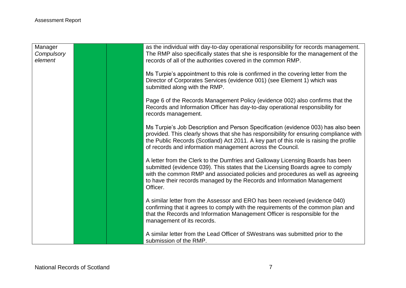| Manager<br>Compulsory |  | as the individual with day-to-day operational responsibility for records management.<br>The RMP also specifically states that she is responsible for the management of the                                                                                                                                                                 |
|-----------------------|--|--------------------------------------------------------------------------------------------------------------------------------------------------------------------------------------------------------------------------------------------------------------------------------------------------------------------------------------------|
| element               |  | records of all of the authorities covered in the common RMP.                                                                                                                                                                                                                                                                               |
|                       |  | Ms Turpie's appointment to this role is confirmed in the covering letter from the<br>Director of Corporates Services (evidence 001) (see Element 1) which was<br>submitted along with the RMP.                                                                                                                                             |
|                       |  | Page 6 of the Records Management Policy (evidence 002) also confirms that the<br>Records and Information Officer has day-to-day operational responsibility for<br>records management.                                                                                                                                                      |
|                       |  | Ms Turpie's Job Description and Person Specification (evidence 003) has also been<br>provided. This clearly shows that she has responsibility for ensuring compliance with<br>the Public Records (Scotland) Act 2011. A key part of this role is raising the profile<br>of records and information management across the Council.          |
|                       |  | A letter from the Clerk to the Dumfries and Galloway Licensing Boards has been<br>submitted (evidence 039). This states that the Licensing Boards agree to comply<br>with the common RMP and associated policies and procedures as well as agreeing<br>to have their records managed by the Records and Information Management<br>Officer. |
|                       |  | A similar letter from the Assessor and ERO has been received (evidence 040)<br>confirming that it agrees to comply with the requirements of the common plan and<br>that the Records and Information Management Officer is responsible for the<br>management of its records.                                                                |
|                       |  | A similar letter from the Lead Officer of SWestrans was submitted prior to the<br>submission of the RMP.                                                                                                                                                                                                                                   |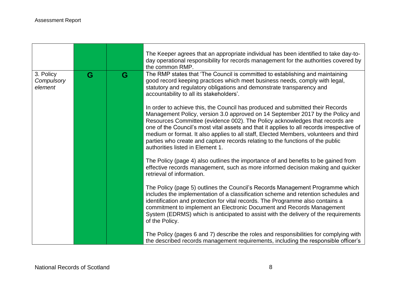|                                    |   |   | The Keeper agrees that an appropriate individual has been identified to take day-to-<br>day operational responsibility for records management for the authorities covered by<br>the common RMP.                                                                                                                                                                                                                                                                                                                                                              |
|------------------------------------|---|---|--------------------------------------------------------------------------------------------------------------------------------------------------------------------------------------------------------------------------------------------------------------------------------------------------------------------------------------------------------------------------------------------------------------------------------------------------------------------------------------------------------------------------------------------------------------|
| 3. Policy<br>Compulsory<br>element | G | G | The RMP states that 'The Council is committed to establishing and maintaining<br>good record keeping practices which meet business needs, comply with legal,<br>statutory and regulatory obligations and demonstrate transparency and<br>accountability to all its stakeholders'.                                                                                                                                                                                                                                                                            |
|                                    |   |   | In order to achieve this, the Council has produced and submitted their Records<br>Management Policy, version 3.0 approved on 14 September 2017 by the Policy and<br>Resources Committee (evidence 002). The Policy acknowledges that records are<br>one of the Council's most vital assets and that it applies to all records irrespective of<br>medium or format. It also applies to all staff, Elected Members, volunteers and third<br>parties who create and capture records relating to the functions of the public<br>authorities listed in Element 1. |
|                                    |   |   | The Policy (page 4) also outlines the importance of and benefits to be gained from<br>effective records management, such as more informed decision making and quicker<br>retrieval of information.                                                                                                                                                                                                                                                                                                                                                           |
|                                    |   |   | The Policy (page 5) outlines the Council's Records Management Programme which<br>includes the implementation of a classification scheme and retention schedules and<br>identification and protection for vital records. The Programme also contains a<br>commitment to implement an Electronic Document and Records Management<br>System (EDRMS) which is anticipated to assist with the delivery of the requirements<br>of the Policy.                                                                                                                      |
|                                    |   |   | The Policy (pages 6 and 7) describe the roles and responsibilities for complying with<br>the described records management requirements, including the responsible officer's                                                                                                                                                                                                                                                                                                                                                                                  |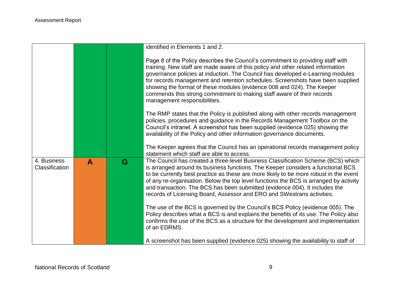|                               |              |   | identified in Elements 1 and 2.                                                                                                                                                                                                                                                                                                                                                                                                                                                                                            |
|-------------------------------|--------------|---|----------------------------------------------------------------------------------------------------------------------------------------------------------------------------------------------------------------------------------------------------------------------------------------------------------------------------------------------------------------------------------------------------------------------------------------------------------------------------------------------------------------------------|
|                               |              |   | Page 8 of the Policy describes the Council's commitment to providing staff with<br>training. New staff are made aware of this policy and other related information<br>governance policies at induction. The Council has developed e-Learning modules<br>for records management and retention schedules. Screenshots have been supplied<br>showing the format of these modules (evidence 008 and 024). The Keeper<br>commends this strong commitment to making staff aware of their records<br>management responsibilities. |
|                               |              |   | The RMP states that the Policy is published along with other records management<br>policies, procedures and guidance in the Records Management Toolbox on the<br>Council's intranet. A screenshot has been supplied (evidence 025) showing the<br>availability of the Policy and other information governance documents.                                                                                                                                                                                                   |
|                               |              |   | The Keeper agrees that the Council has an operational records management policy<br>statement which staff are able to access.                                                                                                                                                                                                                                                                                                                                                                                               |
| 4. Business<br>Classification | $\mathbf{A}$ | G | The Council has created a three-level Business Classification Scheme (BCS) which<br>is arranged around its business functions. The Keeper considers a functional BCS<br>to be currently best practice as these are more likely to be more robust in the event<br>of any re-organisation. Below the top level functions the BCS is arranged by activity<br>and transaction. The BCS has been submitted (evidence 004). It includes the<br>records of Licensing Board, Assessor and ERO and SWestrans activities.            |
|                               |              |   | The use of the BCS is governed by the Council's BCS Policy (evidence 005). The<br>Policy describes what a BCS is and explains the benefits of its use. The Policy also<br>confirms the use of the BCS as a structure for the development and implementation<br>of an EDRMS.                                                                                                                                                                                                                                                |
|                               |              |   | A screenshot has been supplied (evidence 025) showing the availability to staff of                                                                                                                                                                                                                                                                                                                                                                                                                                         |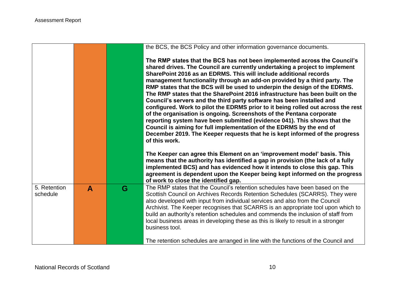|                          |   |   | the BCS, the BCS Policy and other information governance documents.                                                                                                                                                                                                                                                                                                                                                                                                                                                                                                                                                                                                                                                                                                                                                                                                                                                                                              |
|--------------------------|---|---|------------------------------------------------------------------------------------------------------------------------------------------------------------------------------------------------------------------------------------------------------------------------------------------------------------------------------------------------------------------------------------------------------------------------------------------------------------------------------------------------------------------------------------------------------------------------------------------------------------------------------------------------------------------------------------------------------------------------------------------------------------------------------------------------------------------------------------------------------------------------------------------------------------------------------------------------------------------|
|                          |   |   | The RMP states that the BCS has not been implemented across the Council's<br>shared drives. The Council are currently undertaking a project to implement<br>SharePoint 2016 as an EDRMS. This will include additional records<br>management functionality through an add-on provided by a third party. The<br>RMP states that the BCS will be used to underpin the design of the EDRMS.<br>The RMP states that the SharePoint 2016 infrastructure has been built on the<br>Council's servers and the third party software has been installed and<br>configured. Work to pilot the EDRMS prior to it being rolled out across the rest<br>of the organisation is ongoing. Screenshots of the Pentana corporate<br>reporting system have been submitted (evidence 041). This shows that the<br>Council is aiming for full implementation of the EDRMS by the end of<br>December 2019. The Keeper requests that he is kept informed of the progress<br>of this work. |
|                          |   |   | The Keeper can agree this Element on an 'improvement model' basis. This<br>means that the authority has identified a gap in provision (the lack of a fully<br>implemented BCS) and has evidenced how it intends to close this gap. This<br>agreement is dependent upon the Keeper being kept informed on the progress<br>of work to close the identified gap.                                                                                                                                                                                                                                                                                                                                                                                                                                                                                                                                                                                                    |
| 5. Retention<br>schedule | A | G | The RMP states that the Council's retention schedules have been based on the<br>Scottish Council on Archives Records Retention Schedules (SCARRS). They were<br>also developed with input from individual services and also from the Council<br>Archivist. The Keeper recognises that SCARRS is an appropriate tool upon which to<br>build an authority's retention schedules and commends the inclusion of staff from<br>local business areas in developing these as this is likely to result in a stronger<br>business tool.                                                                                                                                                                                                                                                                                                                                                                                                                                   |
|                          |   |   | The retention schedules are arranged in line with the functions of the Council and                                                                                                                                                                                                                                                                                                                                                                                                                                                                                                                                                                                                                                                                                                                                                                                                                                                                               |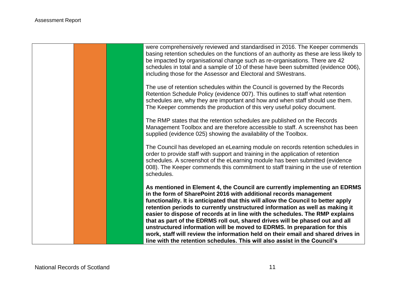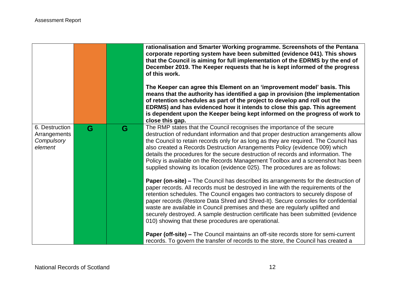|                                                         |   |   | rationalisation and Smarter Working programme. Screenshots of the Pentana<br>corporate reporting system have been submitted (evidence 041). This shows<br>that the Council is aiming for full implementation of the EDRMS by the end of<br>December 2019. The Keeper requests that he is kept informed of the progress<br>of this work.<br>The Keeper can agree this Element on an 'improvement model' basis. This<br>means that the authority has identified a gap in provision (the implementation<br>of retention schedules as part of the project to develop and roll out the<br>EDRMS) and has evidenced how it intends to close this gap. This agreement<br>is dependent upon the Keeper being kept informed on the progress of work to<br>close this gap. |
|---------------------------------------------------------|---|---|------------------------------------------------------------------------------------------------------------------------------------------------------------------------------------------------------------------------------------------------------------------------------------------------------------------------------------------------------------------------------------------------------------------------------------------------------------------------------------------------------------------------------------------------------------------------------------------------------------------------------------------------------------------------------------------------------------------------------------------------------------------|
| 6. Destruction<br>Arrangements<br>Compulsory<br>element | G | G | The RMP states that the Council recognises the importance of the secure<br>destruction of redundant information and that proper destruction arrangements allow<br>the Council to retain records only for as long as they are required. The Council has<br>also created a Records Destruction Arrangements Policy (evidence 009) which<br>details the procedures for the secure destruction of records and information. The<br>Policy is available on the Records Management Toolbox and a screenshot has been<br>supplied showing its location (evidence 025). The procedures are as follows:                                                                                                                                                                    |
|                                                         |   |   | <b>Paper (on-site) –</b> The Council has described its arrangements for the destruction of<br>paper records. All records must be destroyed in line with the requirements of the<br>retention schedules. The Council engages two contractors to securely dispose of<br>paper records (Restore Data Shred and Shred-It). Secure consoles for confidential<br>waste are available in Council premises and these are regularly uplifted and<br>securely destroyed. A sample destruction certificate has been submitted (evidence<br>010) showing that these procedures are operational.                                                                                                                                                                              |
|                                                         |   |   | Paper (off-site) - The Council maintains an off-site records store for semi-current<br>records. To govern the transfer of records to the store, the Council has created a                                                                                                                                                                                                                                                                                                                                                                                                                                                                                                                                                                                        |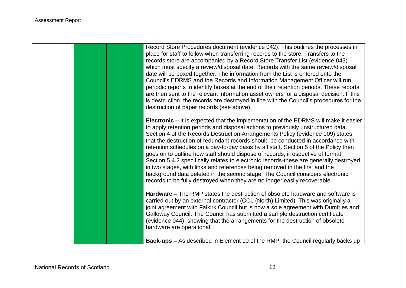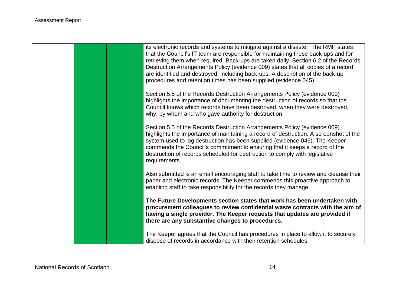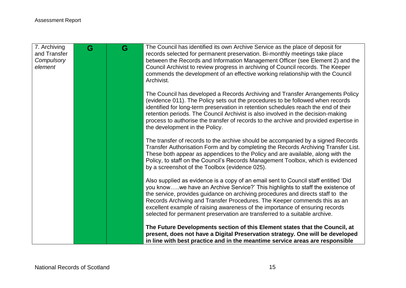| 7. Archiving<br>and Transfer<br>Compulsory<br>element | G | G | The Council has identified its own Archive Service as the place of deposit for<br>records selected for permanent preservation. Bi-monthly meetings take place<br>between the Records and Information Management Officer (see Element 2) and the<br>Council Archivist to review progress in archiving of Council records. The Keeper<br>commends the development of an effective working relationship with the Council<br>Archivist.                                                                 |
|-------------------------------------------------------|---|---|-----------------------------------------------------------------------------------------------------------------------------------------------------------------------------------------------------------------------------------------------------------------------------------------------------------------------------------------------------------------------------------------------------------------------------------------------------------------------------------------------------|
|                                                       |   |   | The Council has developed a Records Archiving and Transfer Arrangements Policy<br>(evidence 011). The Policy sets out the procedures to be followed when records<br>identified for long-term preservation in retention schedules reach the end of their<br>retention periods. The Council Archivist is also involved in the decision-making<br>process to authorise the transfer of records to the archive and provided expertise in<br>the development in the Policy.                              |
|                                                       |   |   | The transfer of records to the archive should be accompanied by a signed Records<br>Transfer Authorisation Form and by completing the Records Archiving Transfer List.<br>These both appear as appendices to the Policy and are available, along with the<br>Policy, to staff on the Council's Records Management Toolbox, which is evidenced<br>by a screenshot of the Toolbox (evidence 025).                                                                                                     |
|                                                       |   |   | Also supplied as evidence is a copy of an email sent to Council staff entitled 'Did<br>you knowwe have an Archive Service?' This highlights to staff the existence of<br>the service, provides guidance on archiving procedures and directs staff to the<br>Records Archiving and Transfer Procedures. The Keeper commends this as an<br>excellent example of raising awareness of the importance of ensuring records<br>selected for permanent preservation are transferred to a suitable archive. |
|                                                       |   |   | The Future Developments section of this Element states that the Council, at<br>present, does not have a Digital Preservation strategy. One will be developed<br>in line with best practice and in the meantime service areas are responsible                                                                                                                                                                                                                                                        |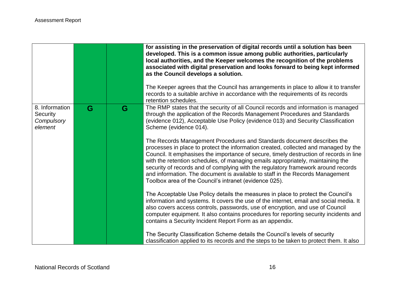|                                                     |   |   | for assisting in the preservation of digital records until a solution has been<br>developed. This is a common issue among public authorities, particularly<br>local authorities, and the Keeper welcomes the recognition of the problems<br>associated with digital preservation and looks forward to being kept informed<br>as the Council develops a solution.<br>The Keeper agrees that the Council has arrangements in place to allow it to transfer<br>records to a suitable archive in accordance with the requirements of its records                               |
|-----------------------------------------------------|---|---|----------------------------------------------------------------------------------------------------------------------------------------------------------------------------------------------------------------------------------------------------------------------------------------------------------------------------------------------------------------------------------------------------------------------------------------------------------------------------------------------------------------------------------------------------------------------------|
| 8. Information<br>Security<br>Compulsory<br>element | G | G | retention schedules.<br>The RMP states that the security of all Council records and information is managed<br>through the application of the Records Management Procedures and Standards<br>(evidence 012), Acceptable Use Policy (evidence 013) and Security Classification<br>Scheme (evidence 014).                                                                                                                                                                                                                                                                     |
|                                                     |   |   | The Records Management Procedures and Standards document describes the<br>processes in place to protect the information created, collected and managed by the<br>Council. It emphasises the importance of secure, timely destruction of records in line<br>with the retention schedules, of managing emails appropriately, maintaining the<br>security of records and of complying with the regulatory framework around records<br>and information. The document is available to staff in the Records Management<br>Toolbox area of the Council's intranet (evidence 025). |
|                                                     |   |   | The Acceptable Use Policy details the measures in place to protect the Council's<br>information and systems. It covers the use of the internet, email and social media. It<br>also covers access controls, passwords, use of encryption, and use of Council<br>computer equipment. It also contains procedures for reporting security incidents and<br>contains a Security Incident Report Form as an appendix.                                                                                                                                                            |
|                                                     |   |   | The Security Classification Scheme details the Council's levels of security<br>classification applied to its records and the steps to be taken to protect them. It also                                                                                                                                                                                                                                                                                                                                                                                                    |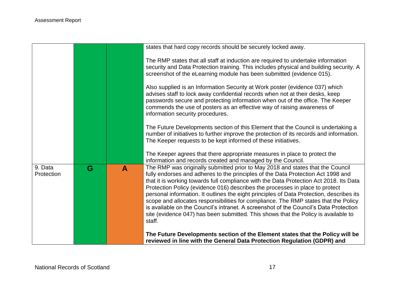|                       |   |   | states that hard copy records should be securely locked away.                                                                                                                                                                                                                                                                                                                                                                                                                                                                                                                                                                                                                                                            |
|-----------------------|---|---|--------------------------------------------------------------------------------------------------------------------------------------------------------------------------------------------------------------------------------------------------------------------------------------------------------------------------------------------------------------------------------------------------------------------------------------------------------------------------------------------------------------------------------------------------------------------------------------------------------------------------------------------------------------------------------------------------------------------------|
|                       |   |   | The RMP states that all staff at induction are required to undertake information<br>security and Data Protection training. This includes physical and building security. A<br>screenshot of the eLearning module has been submitted (evidence 015).                                                                                                                                                                                                                                                                                                                                                                                                                                                                      |
|                       |   |   | Also supplied is an Information Security at Work poster (evidence 037) which<br>advises staff to lock away confidential records when not at their desks, keep<br>passwords secure and protecting information when out of the office. The Keeper<br>commends the use of posters as an effective way of raising awareness of<br>information security procedures.                                                                                                                                                                                                                                                                                                                                                           |
|                       |   |   | The Future Developments section of this Element that the Council is undertaking a<br>number of initiatives to further improve the protection of its records and information.<br>The Keeper requests to be kept informed of these initiatives.                                                                                                                                                                                                                                                                                                                                                                                                                                                                            |
|                       |   |   | The Keeper agrees that there appropriate measures in place to protect the<br>information and records created and managed by the Council.                                                                                                                                                                                                                                                                                                                                                                                                                                                                                                                                                                                 |
| 9. Data<br>Protection | G | A | The RMP was originally submitted prior to May 2018 and states that the Council<br>fully endorses and adheres to the principles of the Data Protection Act 1998 and<br>that it is working towards full compliance with the Data Protection Act 2018. Its Data<br>Protection Policy (evidence 016) describes the processes in place to protect<br>personal information. It outlines the eight principles of Data Protection, describes its<br>scope and allocates responsibilities for compliance. The RMP states that the Policy<br>is available on the Council's intranet. A screenshot of the Council's Data Protection<br>site (evidence 047) has been submitted. This shows that the Policy is available to<br>staff. |
|                       |   |   | The Future Developments section of the Element states that the Policy will be<br>reviewed in line with the General Data Protection Regulation (GDPR) and                                                                                                                                                                                                                                                                                                                                                                                                                                                                                                                                                                 |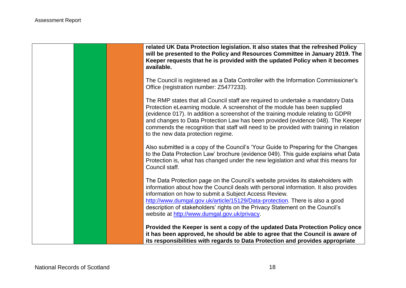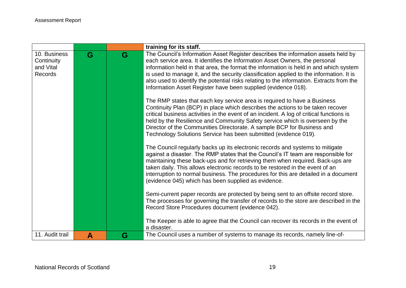|                 |   |   | training for its staff.                                                                                                                                              |
|-----------------|---|---|----------------------------------------------------------------------------------------------------------------------------------------------------------------------|
| 10. Business    | G | G | The Council's Information Asset Register describes the information assets held by                                                                                    |
| Continuity      |   |   | each service area. It identifies the Information Asset Owners, the personal                                                                                          |
| and Vital       |   |   | information held in that area, the format the information is held in and which system                                                                                |
| Records         |   |   | is used to manage it, and the security classification applied to the information. It is                                                                              |
|                 |   |   | also used to identify the potential risks relating to the information. Extracts from the<br>Information Asset Register have been supplied (evidence 018).            |
|                 |   |   |                                                                                                                                                                      |
|                 |   |   | The RMP states that each key service area is required to have a Business                                                                                             |
|                 |   |   | Continuity Plan (BCP) in place which describes the actions to be taken recover                                                                                       |
|                 |   |   | critical business activities in the event of an incident. A log of critical functions is                                                                             |
|                 |   |   | held by the Resilience and Community Safety service which is overseen by the                                                                                         |
|                 |   |   | Director of the Communities Directorate. A sample BCP for Business and<br>Technology Solutions Service has been submitted (evidence 019).                            |
|                 |   |   |                                                                                                                                                                      |
|                 |   |   | The Council regularly backs up its electronic records and systems to mitigate                                                                                        |
|                 |   |   | against a disaster. The RMP states that the Council's IT team are responsible for                                                                                    |
|                 |   |   | maintaining these back-ups and for retrieving them when required. Back-ups are                                                                                       |
|                 |   |   | taken daily. This allows electronic records to be restored in the event of an<br>interruption to normal business. The procedures for this are detailed in a document |
|                 |   |   | (evidence 045) which has been supplied as evidence.                                                                                                                  |
|                 |   |   |                                                                                                                                                                      |
|                 |   |   | Semi-current paper records are protected by being sent to an offsite record store.                                                                                   |
|                 |   |   | The processes for governing the transfer of records to the store are described in the                                                                                |
|                 |   |   | Record Store Procedures document (evidence 042).                                                                                                                     |
|                 |   |   | The Keeper is able to agree that the Council can recover its records in the event of                                                                                 |
|                 |   |   | a disaster.                                                                                                                                                          |
| 11. Audit trail | A | G | The Council uses a number of systems to manage its records, namely line-of-                                                                                          |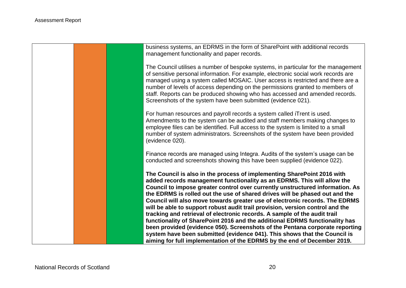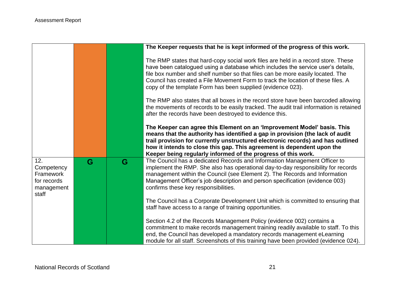|                                                                      |   |   | The Keeper requests that he is kept informed of the progress of this work.                                                                                                                                                                                                                                                                                                                                 |
|----------------------------------------------------------------------|---|---|------------------------------------------------------------------------------------------------------------------------------------------------------------------------------------------------------------------------------------------------------------------------------------------------------------------------------------------------------------------------------------------------------------|
|                                                                      |   |   | The RMP states that hard-copy social work files are held in a record store. These<br>have been catalogued using a database which includes the service user's details,<br>file box number and shelf number so that files can be more easily located. The<br>Council has created a File Movement Form to track the location of these files. A<br>copy of the template Form has been supplied (evidence 023). |
|                                                                      |   |   | The RMP also states that all boxes in the record store have been barcoded allowing<br>the movements of records to be easily tracked. The audit trail information is retained<br>after the records have been destroyed to evidence this.                                                                                                                                                                    |
|                                                                      |   |   | The Keeper can agree this Element on an 'Improvement Model' basis. This<br>means that the authority has identified a gap in provision (the lack of audit<br>trail provision for currently unstructured electronic records) and has outlined<br>how it intends to close this gap. This agreement is dependent upon the<br>Keeper being regularly informed of the progress of this work.                     |
| 12.<br>Competency<br>Framework<br>for records<br>management<br>staff | G | G | The Council has a dedicated Records and Information Management Officer to<br>implement the RMP. She also has operational day-to-day responsibility for records<br>management within the Council (see Element 2). The Records and Information<br>Management Officer's job description and person specification (evidence 003)<br>confirms these key responsibilities.                                       |
|                                                                      |   |   | The Council has a Corporate Development Unit which is committed to ensuring that<br>staff have access to a range of training opportunities.                                                                                                                                                                                                                                                                |
|                                                                      |   |   | Section 4.2 of the Records Management Policy (evidence 002) contains a<br>commitment to make records management training readily available to staff. To this<br>end, the Council has developed a mandatory records management eLearning<br>module for all staff. Screenshots of this training have been provided (evidence 024).                                                                           |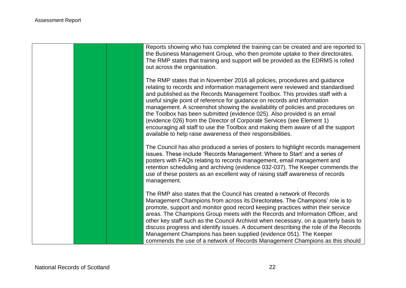Reports showing who has completed the training can be created and are reported to the Business Management Group, who then promote uptake to their directorates. The RMP states that training and support will be provided as the EDRMS is rolled out across the organisation.

The RMP states that in November 2016 all policies, procedures and guidance relating to records and information management were reviewed and standardised and published as the Records Management Toolbox. This provides staff with a useful single point of reference for guidance on records and information management. A screenshot showing the availability of policies and procedures on the Toolbox has been submitted (evidence 025). Also provided is an email (evidence 026) from the Director of Corporate Services (see Element 1) encouraging all staff to use the Toolbox and making them aware of all the support available to help raise awareness of their responsibilities.

The Council has also produced a series of posters to highlight records management issues. These include 'Records Management: Where to Start' and a series of posters with FAQs relating to records management, email management and retention scheduling and archiving (evidence 032-037). The Keeper commends the use of these posters as an excellent way of raising staff awareness of records management.

The RMP also states that the Council has created a network of Records Management Champions from across its Directorates. The Champions' role is to promote, support and monitor good record keeping practices within their service areas. The Champions Group meets with the Records and Information Officer, and other key staff such as the Council Archivist when necessary, on a quarterly basis to discuss progress and identify issues. A document describing the role of the Records Management Champions has been supplied (evidence 051). The Keeper commends the use of a network of Records Management Champions as this should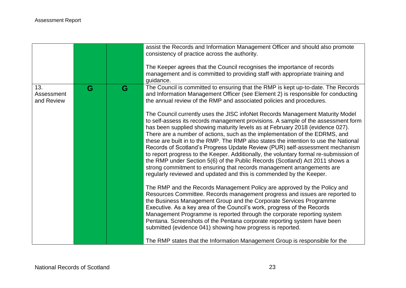|                                 |   |   | assist the Records and Information Management Officer and should also promote<br>consistency of practice across the authority.<br>The Keeper agrees that the Council recognises the importance of records<br>management and is committed to providing staff with appropriate training and                                                                                                                                                                                                                                                                                                                                                                                                                                                                                                                                                                                                                                                                                                                                                                                                                                                                                                                                                                                                                                                                                                                                                                                                                                                                                                                                           |
|---------------------------------|---|---|-------------------------------------------------------------------------------------------------------------------------------------------------------------------------------------------------------------------------------------------------------------------------------------------------------------------------------------------------------------------------------------------------------------------------------------------------------------------------------------------------------------------------------------------------------------------------------------------------------------------------------------------------------------------------------------------------------------------------------------------------------------------------------------------------------------------------------------------------------------------------------------------------------------------------------------------------------------------------------------------------------------------------------------------------------------------------------------------------------------------------------------------------------------------------------------------------------------------------------------------------------------------------------------------------------------------------------------------------------------------------------------------------------------------------------------------------------------------------------------------------------------------------------------------------------------------------------------------------------------------------------------|
| 13.<br>Assessment<br>and Review | G | G | guidance.<br>The Council is committed to ensuring that the RMP is kept up-to-date. The Records<br>and Information Management Officer (see Element 2) is responsible for conducting<br>the annual review of the RMP and associated policies and procedures.<br>The Council currently uses the JISC infoNet Records Management Maturity Model<br>to self-assess its records management provisions. A sample of the assessment form<br>has been supplied showing maturity levels as at February 2018 (evidence 027).<br>There are a number of actions, such as the implementation of the EDRMS, and<br>these are built in to the RMP. The RMP also states the intention to use the National<br>Records of Scotland's Progress Update Review (PUR) self-assessment mechanism<br>to report progress to the Keeper. Additionally, the voluntary formal re-submission of<br>the RMP under Section 5(6) of the Public Records (Scotland) Act 2011 shows a<br>strong commitment to ensuring that records management arrangements are<br>regularly reviewed and updated and this is commended by the Keeper.<br>The RMP and the Records Management Policy are approved by the Policy and<br>Resources Committee. Records management progress and issues are reported to<br>the Business Management Group and the Corporate Services Programme<br>Executive. As a key area of the Council's work, progress of the Records<br>Management Programme is reported through the corporate reporting system<br>Pentana. Screenshots of the Pentana corporate reporting system have been<br>submitted (evidence 041) showing how progress is reported. |
|                                 |   |   | The RMP states that the Information Management Group is responsible for the                                                                                                                                                                                                                                                                                                                                                                                                                                                                                                                                                                                                                                                                                                                                                                                                                                                                                                                                                                                                                                                                                                                                                                                                                                                                                                                                                                                                                                                                                                                                                         |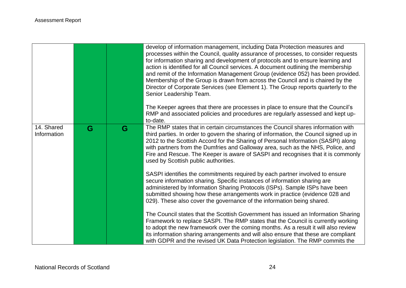|                           |   |   | develop of information management, including Data Protection measures and<br>processes within the Council, quality assurance of processes, to consider requests<br>for information sharing and development of protocols and to ensure learning and<br>action is identified for all Council services. A document outlining the membership<br>and remit of the Information Management Group (evidence 052) has been provided.<br>Membership of the Group is drawn from across the Council and is chaired by the<br>Director of Corporate Services (see Element 1). The Group reports quarterly to the<br>Senior Leadership Team.<br>The Keeper agrees that there are processes in place to ensure that the Council's<br>RMP and associated policies and procedures are regularly assessed and kept up-<br>to-date. |
|---------------------------|---|---|------------------------------------------------------------------------------------------------------------------------------------------------------------------------------------------------------------------------------------------------------------------------------------------------------------------------------------------------------------------------------------------------------------------------------------------------------------------------------------------------------------------------------------------------------------------------------------------------------------------------------------------------------------------------------------------------------------------------------------------------------------------------------------------------------------------|
| 14. Shared<br>Information | G | G | The RMP states that in certain circumstances the Council shares information with<br>third parties. In order to govern the sharing of information, the Council signed up in<br>2012 to the Scottish Accord for the Sharing of Personal Information (SASPI) along<br>with partners from the Dumfries and Galloway area, such as the NHS, Police, and<br>Fire and Rescue. The Keeper is aware of SASPI and recognises that it is commonly<br>used by Scottish public authorities.                                                                                                                                                                                                                                                                                                                                   |
|                           |   |   | SASPI identifies the commitments required by each partner involved to ensure<br>secure information sharing. Specific instances of information sharing are<br>administered by Information Sharing Protocols (ISPs). Sample ISPs have been<br>submitted showing how these arrangements work in practice (evidence 028 and<br>029). These also cover the governance of the information being shared.                                                                                                                                                                                                                                                                                                                                                                                                                |
|                           |   |   | The Council states that the Scottish Government has issued an Information Sharing<br>Framework to replace SASPI. The RMP states that the Council is currently working<br>to adopt the new framework over the coming months. As a result it will also review<br>its information sharing arrangements and will also ensure that these are compliant<br>with GDPR and the revised UK Data Protection legislation. The RMP commits the                                                                                                                                                                                                                                                                                                                                                                               |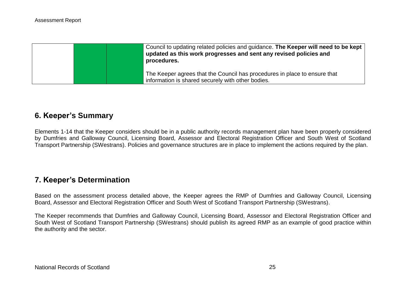|  | Council to updating related policies and guidance. The Keeper will need to be kept<br>updated as this work progresses and sent any revised policies and<br>procedures. |
|--|------------------------------------------------------------------------------------------------------------------------------------------------------------------------|
|  | The Keeper agrees that the Council has procedures in place to ensure that<br>information is shared securely with other bodies.                                         |

# **6. Keeper's Summary**

Elements 1-14 that the Keeper considers should be in a public authority records management plan have been properly considered by Dumfries and Galloway Council, Licensing Board, Assessor and Electoral Registration Officer and South West of Scotland Transport Partnership (SWestrans). Policies and governance structures are in place to implement the actions required by the plan.

# **7. Keeper's Determination**

Based on the assessment process detailed above, the Keeper agrees the RMP of Dumfries and Galloway Council, Licensing Board, Assessor and Electoral Registration Officer and South West of Scotland Transport Partnership (SWestrans).

The Keeper recommends that Dumfries and Galloway Council, Licensing Board, Assessor and Electoral Registration Officer and South West of Scotland Transport Partnership (SWestrans) should publish its agreed RMP as an example of good practice within the authority and the sector.